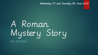Wednesday 17th and Thursday 18th June 2020

# A Roman Mystery Story THE SETTING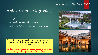#### WALT: create a story setting.

WILF Setting development Careful vocabulary choices

Over the coming weeks, we are going to be writing a Roman adventure or mystery story.

Today we're going to think about where the story takes place or the setting.



Wednesday 17th June 2020

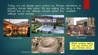Today we will decide upon where our Roman adventure or mystery stories take place. We are setting this story in the Roman era so our settings should reflect this. Suitable settings could include:



Roman baths



Roman villa





The market

Which exciting setting will you choose for your Roman story?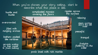When you've chosen your story setting, start to describe what this place is like.

bustle

overcrowded

filled with mingling aromas

bathers packed like sardines

servants waiting for their master to finish bathing

hustle and complicated mosaics<br>hustle bustle covering the floors the surface complicated mosaics covering the floors



ripples across

relaxing

steam swirling above the still water

peaceful

tranquil

firelights flickering on the water

pools lined with rich marble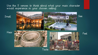#### Use the 5 senses to think about what your main character would experience in your chosen setting.

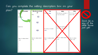#### Can you complete the setting description box on your plan? for description. Where does your character Crisis Ending **Solution** gg? How do you want yo What does your character do What & Nan **REP WIRDER** story to end? Place: to solve the problem? 35 Perso Don't fill in **Geer** any of the other boxes How are you going to Appearance: just yet!the sol on really ex $nq$ ? How does your character (مان ب react?; deas for sentence starters/ Ideas for sentence Ideas for sentence starters/ Ideas for sentence starters/ Ideas for sentence starters/ vocab: tarters/vocab: vocab: vocab: vocab: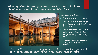When you've chosen your story setting, start to think about what may have happened in this place.



#### Potential problems:

- Someone starts drowning!
- $\blacktriangleright$  The master's belongings are stolen whilst they're in the pool!
- Troublemakers enter the baths and disturb the peace (diving/splashing  $etc.$ ).
- **Thunder** storms causes everyone to flee in a panic!

You don't need to record your ideas for a problem yet but it is a good idea to think about what might happen next.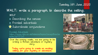#### Tuesday 16th June 2020

### WILF WALT: write a paragraph to describe the setting.

**Describing the senses Fronted adverbials X** Subordinate conjunctions

Fronted Adverbials [https://www.bbc.co.uk/bitesize/topics/zwwp8mn/ar](https://www.bbc.co.uk/bitesize/topics/zwwp8mn/articles/zp937p3) ticles/zp937p3

Over the coming weeks, we are going to be writing a Roman adventure or mystery story.

I oday we're going to create an exciting setting for your mystery or adventure.



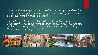Today we're going to write a setting paragraph to describe the location in your Roman story. Where will you character be at the start of their adventure?

The setting will be the place where the action happens in your story. You could start to think about what will happen in this place (e.g. Whilst his master swam in the baths, Matthias lost his signet ring).

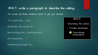WALT: write a paragraph to describe the setting.

You could use these sentence starts to get you started:

The smell from … was …

Gradually, the sounds of …

Approaching the…, Matthias felt…

All around him…

Wandering through the…,

#### WILF:

- Describing the senses
	- Fronted adverbials

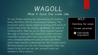## WAGOLL What A Good One Looks Like

It was Friday, bathing day. Approaching the bathing house, Matthias felt his usual pang of jealousy. The piping hot water always looked so inviting with swirls of steam rising from the surface. Gradually, the sound of trickling water filled his ear as they stepped towards the edge of the bath. All around him, other servants stood like statues with their eyes averted and their arms extended holding onto piles of robes and finery whilst their masters submerged into the tranquil water. Matthias knew, just like him, they longed for their own chance to dip just one toe…but servants were not welcome in these waters.

#### WILF:

- Describing the senses
	- Fronted adverbials